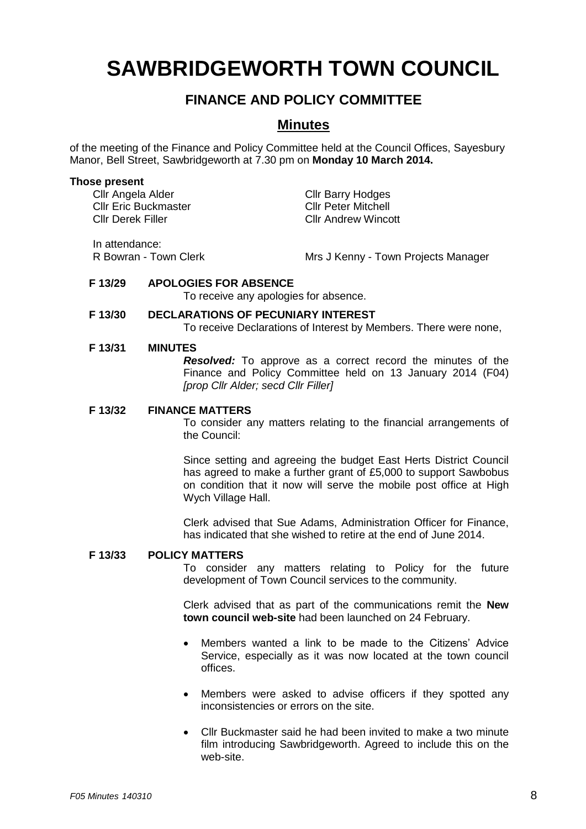# **SAWBRIDGEWORTH TOWN COUNCIL**

## **FINANCE AND POLICY COMMITTEE**

### **Minutes**

of the meeting of the Finance and Policy Committee held at the Council Offices, Sayesbury Manor, Bell Street, Sawbridgeworth at 7.30 pm on **Monday 10 March 2014.**

#### **Those present**

Cllr Angela Alder Cllr Barry Hodges<br>Cllr Eric Buckmaster Cllr Cllr Peter Mitchell Cllr Eric Buckmaster Cllr Derek Filler Cllr Andrew Wincott

In attendance:

R Bowran - Town Clerk Mrs J Kenny - Town Projects Manager

#### **F 13/29 APOLOGIES FOR ABSENCE**

To receive any apologies for absence.

#### **F 13/30 DECLARATIONS OF PECUNIARY INTEREST**

To receive Declarations of Interest by Members. There were none,

#### **F 13/31 MINUTES**

*Resolved:* To approve as a correct record the minutes of the Finance and Policy Committee held on 13 January 2014 (F04) *[prop Cllr Alder; secd Cllr Filler]*

#### **F 13/32 FINANCE MATTERS**

To consider any matters relating to the financial arrangements of the Council:

Since setting and agreeing the budget East Herts District Council has agreed to make a further grant of £5,000 to support Sawbobus on condition that it now will serve the mobile post office at High Wych Village Hall.

Clerk advised that Sue Adams, Administration Officer for Finance, has indicated that she wished to retire at the end of June 2014.

#### **F 13/33 POLICY MATTERS**

To consider any matters relating to Policy for the future development of Town Council services to the community.

Clerk advised that as part of the communications remit the **New town council web-site** had been launched on 24 February.

- Members wanted a link to be made to the Citizens' Advice Service, especially as it was now located at the town council offices.
- Members were asked to advise officers if they spotted any inconsistencies or errors on the site.
- Cllr Buckmaster said he had been invited to make a two minute film introducing Sawbridgeworth. Agreed to include this on the web-site.